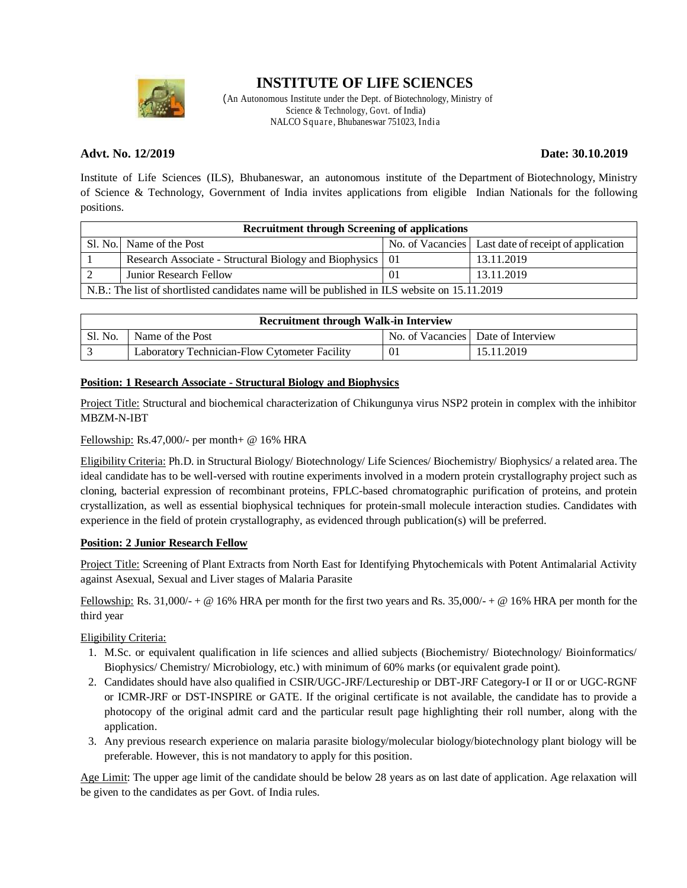

# **INSTITUTE OF LIFE SCIENCES**

(An Autonomous Institute under the Dept. of Biotechnology, Ministry of Science & Technology, Govt. of India) NALCO Square, Bhubaneswar 751023, India

# **Advt. No. 12/2019 Date: 30.10.2019**

Institute of Life Sciences (ILS), Bhubaneswar, an autonomous institute of the Department of Biotechnology, Ministry of Science & Technology, Government of India invites applications from eligible Indian Nationals for the following positions.

| <b>Recruitment through Screening of applications</b>                                         |                                                             |     |                                                        |  |  |
|----------------------------------------------------------------------------------------------|-------------------------------------------------------------|-----|--------------------------------------------------------|--|--|
|                                                                                              | Sl. No. Name of the Post                                    |     | No. of Vacancies   Last date of receipt of application |  |  |
|                                                                                              | Research Associate - Structural Biology and Biophysics   01 |     | 13.11.2019                                             |  |  |
|                                                                                              | Junior Research Fellow                                      | -01 | 13.11.2019                                             |  |  |
| N.B.: The list of shortlisted candidates name will be published in ILS website on 15.11.2019 |                                                             |     |                                                        |  |  |

| <b>Recruitment through Walk-in Interview</b> |                                               |         |                                    |  |  |
|----------------------------------------------|-----------------------------------------------|---------|------------------------------------|--|--|
| Sl. No.                                      | Name of the Post                              |         | No. of Vacancies Date of Interview |  |  |
|                                              | Laboratory Technician-Flow Cytometer Facility | $_{01}$ | 15.11.2019                         |  |  |

## **Position: 1 Research Associate - Structural Biology and Biophysics**

Project Title: Structural and biochemical characterization of Chikungunya virus NSP2 protein in complex with the inhibitor MBZM-N-IBT

Fellowship: Rs.47,000/- per month+ @ 16% HRA

Eligibility Criteria: Ph.D. in Structural Biology/ Biotechnology/ Life Sciences/ Biochemistry/ Biophysics/ a related area. The ideal candidate has to be well-versed with routine experiments involved in a modern protein crystallography project such as cloning, bacterial expression of recombinant proteins, FPLC-based chromatographic purification of proteins, and protein crystallization, as well as essential biophysical techniques for protein-small molecule interaction studies. Candidates with experience in the field of protein crystallography, as evidenced through publication(s) will be preferred.

# **Position: 2 Junior Research Fellow**

Project Title: Screening of Plant Extracts from North East for Identifying Phytochemicals with Potent Antimalarial Activity against Asexual, Sexual and Liver stages of Malaria Parasite

Fellowship: Rs. 31,000/- + @ 16% HRA per month for the first two years and Rs. 35,000/- + @ 16% HRA per month for the third year

Eligibility Criteria:

- 1. M.Sc. or equivalent qualification in life sciences and allied subjects (Biochemistry/ Biotechnology/ Bioinformatics/ Biophysics/ Chemistry/ Microbiology, etc.) with minimum of 60% marks (or equivalent grade point).
- 2. Candidates should have also qualified in CSIR/UGC-JRF/Lectureship or DBT-JRF Category-I or II or or UGC-RGNF or ICMR-JRF or DST-INSPIRE or GATE. If the original certificate is not available, the candidate has to provide a photocopy of the original admit card and the particular result page highlighting their roll number, along with the application.
- 3. Any previous research experience on malaria parasite biology/molecular biology/biotechnology plant biology will be preferable. However, this is not mandatory to apply for this position.

Age Limit: The upper age limit of the candidate should be below 28 years as on last date of application. Age relaxation will be given to the candidates as per Govt. of India rules.